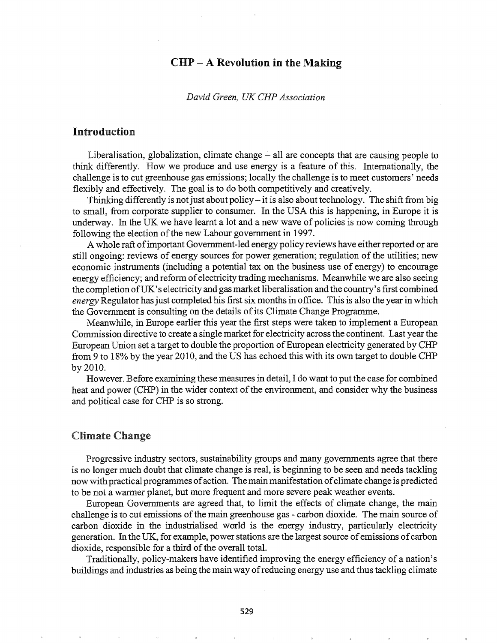# $CHP - A$  Revolution in the Making

#### *David Green, UK CHP Association*

## Introduction

Liberalisation, globalization, climate change  $-$  all are concepts that are causing people to think differently. How we produce and use energy is a feature of this. Internationally, the challenge is to cut greenhouse gas emissions; locally the challenge is to meet customers' needs flexibly and effectively. The goal is to do both competitively and creatively.

Thinking differently is not just about policy - it is also about technology. The shift from big to small, from corporate supplier to consumer. In the USA this is happening, in Europe it is underway. In the UK we have learnt a lot and a new wave of policies is now coming through following the election of the new Labour government in 1997.

A whole raft of important Government-led energy policy reviews have either reported or are still ongoing: reviews of energy sources for power generation; regulation ofthe utilities; new economic instruments (including a potential tax on the business use of energy) to encourage energy efficiency; and reform ofelectricity trading mechanisms. Meanwhile we are also seeing the completion of UK's electricity and gas market liberalisation and the country's first combined *energy* Regulator hasjust completed his first six months in office. This is also the year in which the Government is consulting on the details ofits Climate Change Programme.

Meanwhile, in Europe earlier this year the first steps were taken to implement a European Commission directive to create a single market for electricity across the continent. Last year the European Union set a target to double the proportion of European electricity generated by CHP from 9 to 18% by the year 2010, and the US has echoed this with its own target to double CHP by 2010.

However. Before examining these measures in detail, I do want to put the case for combined heat and power (CHP) in the wider context of the environment, and consider why the business and political case for CHP is so strong.

#### Climate Change

Progressive industry sectors, sustainability groups and many governments agree that there is no longer much doubt that climate change is real, is beginning to be seen and needs tackling now with practical programmes of action. The main manifestation of climate change is predicted to be not a warmer planet, but more frequent and more severe peak weather events.

European Governments are agreed that, to limit the effects of climate change, the main challenge is to cut emissions ofthe main greenhouse gas - carbon dioxide. The main source of carbon dioxide in the industrialised world is the energy industry, particularly electricity generation. In the UK, for example, powerstations are the largest source ofemissions ofcarbon dioxide, responsible for a third of the overall total.

Traditionally, policy-makers have identified improving the energy efficiency of a nation's buildings and industries as being the main way ofreducing energy use and thus tackling climate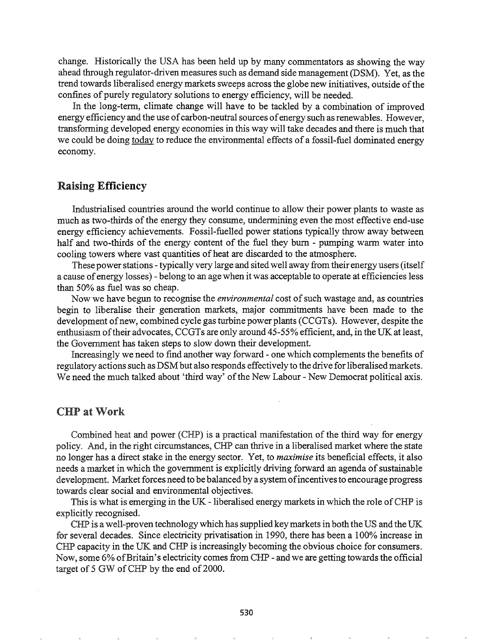change. Historically the USA has been held up by many commentators as showing the way ahead through regulator-driven measures such as demand side management (DSM). Yet, as the trend towards liberalised energy markets sweeps across the globe new initiatives, outside of the confines of purely regulatory solutions to energy efficiency, will be needed.

In the long-term, climate change will have to be tackled by a combination of improved energy efficiency and the use of carbon-neutral sources of energy such as renewables. However, transforming developed energy economies in this way will take decades and there is much that we could be doing today to reduce the environmental effects of a fossil-fuel dominated energy economy.

#### Raising Efficiency

Industrialised countries around the world continue to allow their power plants to waste as much as two-thirds of the energy they consume, undermining even the most effective end-use energy efficiency achievements. Fossil-fuelled power stations typically throwaway between half and two-thirds of the energy content of the fuel they bum - pumping warm water into cooling towers where vast quantities of heat are discarded to the atmosphere.

These power stations - typically very large and sited well away from their energy users (itself a cause of energy losses) - belong to an age when it was acceptable to operate at efficiencies less than 50% as fuel was so cheap.

Now we have begun to recognise the *environmental* cost of such wastage and, as countries begin to liberalise their generation markets, major commitments have been made to the development of new, combined cycle gas turbine power plants (CCGTs). However, despite the enthusiasm oftheir advocates, CCGTs are only around 45-55% efficient, and, in the UK at least, the Government has taken steps to slow down their development.

Increasingly we need to find another way forward - one which complements the benefits of regulatory actions such as DSM but also responds effectively to the drive for liberalised markets. We need the much talked about 'third way' of the New Labour - New Democrat political axis.

# CHPatWork

Combined heat and power (CHP) is a practical manifestation of the third way for energy policy. And, in the right circumstances, CHP can thrive in a liberalised market where the state no longer has a direct stake in the energy sector. Yet, to *maximise* its beneficial effects, it also needs a market in which the government is explicitly driving forward an agenda of sustainable development. Market forces need to be balanced by a system of incentives to encourage progress towards clear social and environmental objectives.

This is what is emerging in the UK - liberalised energy markets in which the role of CHP is explicitly recognised.

CHP is a well-proven technology which has supplied key markets in both the US and the UK for several decades. Since electricity privatisation in 1990, there has been a 100% increase in CHP capacity in the UK and CHP is increasingly becoming the obvious choice for consumers. Now, some 6% ofBritain's electricity comes from CHP - and we are getting towards the official target of 5 GW of CHP by the end of 2000.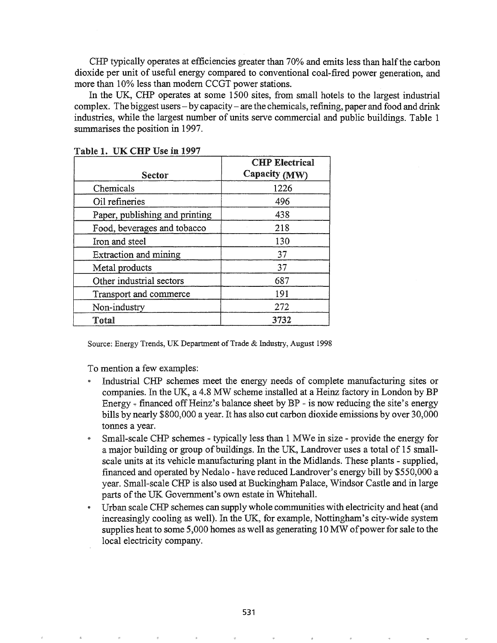CHP typically operates at efficiencies greater than 70% and emits less than half the carbon dioxide per unit of useful energy compared to conventional coal-fired power generation, and more than 10% less than modem CCGT power stations.

In the UK, CHP operates at some 1500 sites, from small hotels to the largest industrial complex. The biggest users- by capacity- are the chemicals, refining, paper and food and drink industries, while the largest number of units serve commercial and public buildings. Table 1 summarises the position in 1997.

|                                | <b>CHP Electrical</b> |
|--------------------------------|-----------------------|
| Sector                         | Capacity (MW)         |
| Chemicals                      | 1226                  |
| Oil refineries                 | 496                   |
| Paper, publishing and printing | 438                   |
| Food, beverages and tobacco    | 218                   |
| Iron and steel                 | 130                   |
| Extraction and mining          | 37                    |
| Metal products                 | 37                    |
| Other industrial sectors       | 687                   |
| Transport and commerce         | 191                   |
| Non-industry                   | 272                   |
| Total                          | 3732                  |

Table 1. UK CHP Use in 1997

Source: Energy Trends, UK Department of Trade & Industry, August 1998

To mention a few examples:

- Industrial CHP schemes meet the energy needs of complete manufacturing sites or companies. In the UK, a 4.8 MW scheme installed at a Heinz factory in London by BP Energy - financed off Heinz's balance sheet by BP - is now reducing the site's energy bills by nearly \$800,000 a year. It has also cut carbon dioxide emissions by over 30,000 tonnes a year.
- Small-scale CHP schemes typically less than 1 MWe in size provide the energy for a major building or group of buildings. In the UK, Landrover uses a total of 15 smallscale units at its vehicle manufacturing plant in the Midlands. These plants - supplied, financed and operated by Nedalo - have reduced Landrover's energy bill by \$550,000 a year. Small-scale CHP is also used at Buckingham Palace, Windsor Castle and in large parts of the UK Government's own estate in Whitehall.
- Urban scale CHP schemes can supply whole communities with electricity and heat (and increasingly cooling as well). In the UK, for example, Nottingham's city-wide system supplies heat to some 5,000 homes as well as generating 10 MW of power for sale to the local electricity company.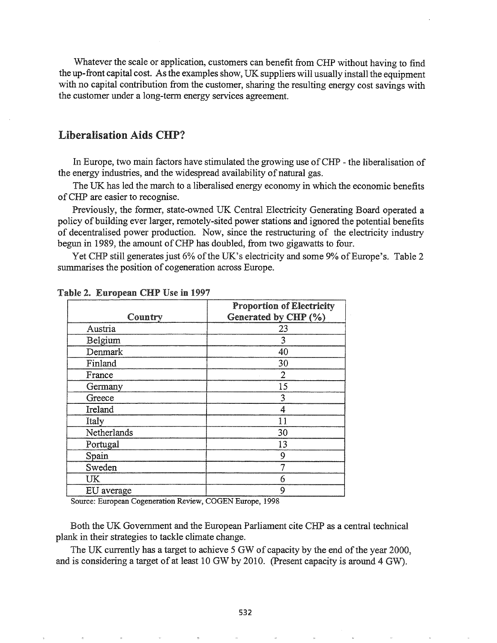Whatever the scale or application, customers can benefit from CHP without having to find the up-front capital cost. As the examples show, UK suppliers will usually install the equipment with no capital contribution from the customer, sharing the resulting energy cost savings with the customer under a long-tenn energy services agreement.

# Liberalisation Aids CHP?

In Europe, two main factors have stimulated the growing use ofCHP - the liberalisation of the energy industries, and the widespread availability of natural gas.

The UK has led the march to a liberalised energy economy in which the economic benefits ofCHP are easier to recognise.

Previously, the fonner, state-owned UK Central Electricity Generating Board operated a policy of building ever larger, remotely-sited power stations and ignored the potential benefits of decentralised power production. Now, since the restructuring of the electricity industry begun in 1989, the amount of CHP has doubled, from two gigawatts to four.

Yet CHP still generates just 6% of the UK's electricity and some 9% of Europe's. Table 2 summarises the position of cogeneration across Europe.

| Country     | <b>Proportion of Electricity</b><br>Generated by CHP (%) |
|-------------|----------------------------------------------------------|
| Austria     | 23                                                       |
| Belgium     | 3                                                        |
| Denmark     | 40                                                       |
| Finland     | 30                                                       |
| France      | 2                                                        |
| Germany     | 15                                                       |
| Greece      | 3                                                        |
| Ireland     | 4                                                        |
| Italy       | 11                                                       |
| Netherlands | 30                                                       |
| Portugal    | 13                                                       |
| Spain       | 9                                                        |
| Sweden      | 7                                                        |
| UK          | 6                                                        |
| EU average  | 9                                                        |

Table 2. European CHP Use in 1997

Source: European Cogeneration Review, COGEN Europe, 1998

Both the UK Government and the European Parliament cite CHP as a central technical plank in their strategies to tackle climate change.

The UK currently has a target to achieve 5 GW of capacity by the end of the year 2000, and is considering a target of at least 10 GW by 2010. (Present capacity is around 4 GW).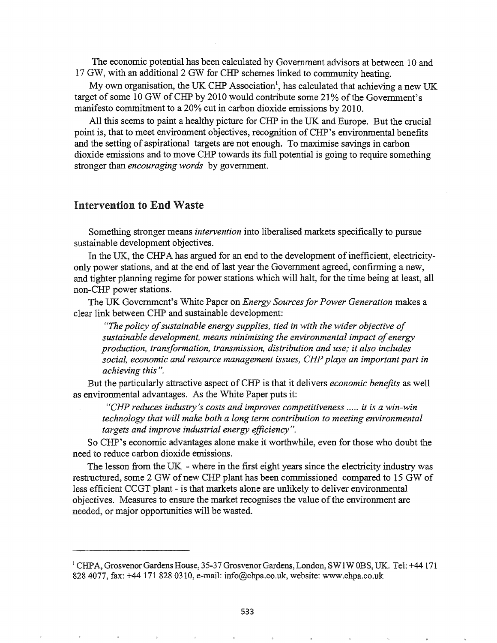The economic potential has been calculated by Government advisors at between 10 and 17 GW, with an additional 2 GW for CHP schemes linked to community heating.

My own organisation, the UK CHP Association<sup>1</sup>, has calculated that achieving a new UK target of some 10 GW of CHP by 2010 would contribute some 21% of the Government's manifesto commitment to a 20% cut in carbon dioxide emissions by 2010.

All this seems to paint a healthy picture for CHP in the UK and Europe. But the crucial point is, that to meet environment objectives, recognition of CHP's environmental benefits and the setting of aspirational targets are not enough. To maximise savings in carbon dioxide emissions and to move CHP towards its full potential is going to require something stronger than *encouraging words* by government.

#### Intervention to End Waste

Something stronger means *intervention* into liberalised markets specifically to pursue sustainable development objectives.

In the UK, the CHPA has argued for an end to the development of inefficient, electricityonly power stations, and at the end of last year the Government agreed, confirming a new, and tighter planning regime for power stations which will halt, for the time being at least, all non-CHP power stations.

The UK Government's White Paper on *Energy Sourcesfor Power Generation* makes a clear link between CHP and sustainable development:

*HThe policy ofsustainable energy supplies, tied in with the wider objective of sustainable development, means minimising the environmental impact ofenergy production, transformation, transmission, distribution and use; it also·includes social, economic and resource management issues, CHP plays an important part in achieving this* ".

But the particularly attractive aspect ofCHP is that it delivers *economic benefits* as well as environmental advantages. As the White Paper puts it:

"CHP reduces *industry's* costs and *improves* competitiveness ..... *it is* a *win-win technology that will make both a long term contribution to meeting environmental targets and improve industrial energy efficiency* ".

So. CHP's economic advantages alone make it worthwhile, even for those who doubt the need to reduce carbon dioxide emissions.

The lesson from the UK - where in the first eight years since the electricity industry was restructured, some 2 GW of new CHP plant has been commissioned compared to 15 GW of less efficient CCGT plant - is that markets alone are unlikely to deliver environmental objectives. Measures to ensure the market recognises the value of the environment are needed, or major opportunities will be wasted.

<sup>1</sup> CHPA, Grosvenor Gardens House, 35-37 Grosvenor Gardens, London, SW1W OBS, UK. Tel: +44 171 828 4077, fax: +44 171 828 0310, e-mail: info@chpa.co.uk, website: www.chpa.co.uk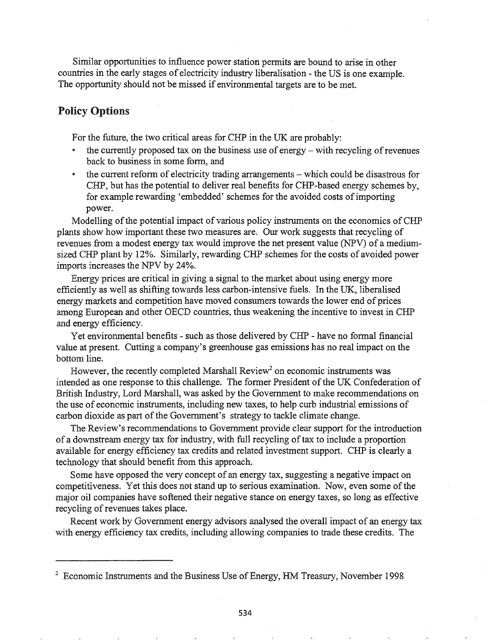Similar opportunities to influence power station permits are bound to arise in other countries in the early stages of electricity industry liberalisation - the US is one example. The opportunity should not be missed if environmental targets are to be met.

# Policy Options

For the future, the two critical areas for CHP in the UK are probably:

- the currently proposed tax on the business use of energy with recycling of revenues back to business in some form, and
- the current reform of electricity trading arrangements which could be disastrous for CHP, but has the potential to deliver real benefits for CHP-based energy schemes by, for example rewarding 'embedded' schemes for the avoided costs of importing power.

Modelling of the potential impact of various policy instruments on the economics of CHP plants show how important these two measures are. Our work suggests that recycling of revenues from a modest energy tax would improve the net present value (NPV) of a mediumsized CHP plant by 12%. Similarly, rewarding CHP schemes for the costs of avoided power imports increases the NPV by 24%.

Energy prices are critical in giving a signal to the market about using energy more efficiently as well as shifting towards less carbon-intensive fuels. In the UK, liberalised energy markets and competition have moved consumers towards the lower end of prices among European and other OECD countries, thus weakening the incentive to invest in CHP and energy efficiency.

Yet environmental benefits - such as those delivered by CHP - have no formal financial value at present. Cutting a company's greenhouse gas emissions has no real impact on the bottom line.

However, the recently completed Marshall  $Review<sup>2</sup>$  on economic instruments was intended as one response to this challenge. The former President of the UK Confederation of British Industry, Lord Marshall, was asked by the Government to make recommendations on the use of economic instruments, including new taxes, to help curb industrial emissions of carbon dioxide as part of the Government's strategy to tackle climate change.

The Review's recommendations to Government provide clear support for the introduction of a downstream energy tax for industry, with full recycling oftax to include a proportion available for energy efficiency tax credits and related investment support. CHP is clearly a technology that should benefit from this approach.

Some have opposed the very concept of an energy tax, suggesting a negative impact on competitiveness. Yet this does not stand up to serious examination. Now, even some of the major oil companies have softened their negative stance on energy taxes, so long as effective recycling of revenues takes place.

Recent work by Government energy advisors analysed the overall impact of an energy tax with energy efficiency tax credits, including allowing companies to trade these credits. The

<sup>&</sup>lt;sup>2</sup> Economic Instruments and the Business Use of Energy, HM Treasury, November 1998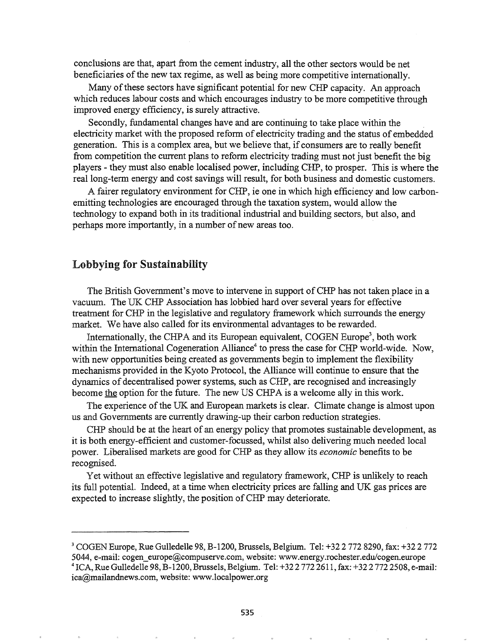conclusions are that, apart from the cement industry, all the other sectors would be net beneficiaries of the new tax regime, as well as being more competitive internationally.

Many of these sectors have significant potential for new CHP capacity. An approach which reduces labour costs and which encourages industry to be more competitive through improved energy efficiency, is surely attractive.

Secondly, fundamental changes have and are continuing to take place within the electricity market with the proposed reform of electricity trading and the status of embedded generation. This is a complex area, but we believe that, if consumers are to really benefit from competition the current plans to reform electricity trading must not just benefit the big players - they must also enable localised power, including CHP, to prosper. This is where the real long-term energy and cost savings will result, for both business and domestic customers.

A fairer regulatory environment for CHP, ie one in which high efficiency and low carbonemitting technologies are encouraged through the taxation system, would allow the technology to expand both in its traditional industrial and building sectors, but also, and perhaps more importantly, in a number of new areas too.

### Lobbying for Sustainability

The British Government's move to intervene in support of CHP has not taken place in a vacuum. The UK CHP Association has lobbied hard over several years for effective treatment for CHP in the legislative and regulatory framework which surrounds the energy market. We have also called for its environmental advantages to be rewarded.

Internationally, the CHPA and its European equivalent, COGEN Europe<sup>3</sup>, both work within the International Cogeneration Alliance<sup>4</sup> to press the case for CHP world-wide. Now, with new opportunities being created as governments begin to implement the flexibility mechanisms provided in the Kyoto Protocol, the Alliance will continue to ensure that the dynamics of decentralised power systems, such as CHP, are recognised and increasingly become the option for the future. The new US CHPA is a welcome ally in this work.

The experience of the UK and European markets is clear. Climate change is almost upon us and Governments are currently drawing-up their carbon reduction strategies.

CHP should be at the heart of an energy policy that promotes sustainable development, as it is both energy-efficient and customer-focussed, whilst also delivering much needed local power. Liberalised markets are good for CHP as they allow its *economic* benefits to be recognised.

Yet without an effective legislative and regulatory framework, CHP is unlikely to reach its full potential. Indeed, at a time when electricity prices are falling and UK gas prices are expected to increase slightly, the position of CHP may deteriorate.

<sup>3</sup> COGEN Europe, Rue Gulledelle 98, B-1200, Brussels, Belgium. Tel: +322 772 8290, fax: +322 772 5044, e-mail: cogen\_europe@compuserveecom, website: www.energy.rochester.edu/cogen.europe <sup>4</sup> ICA, Rue Gulledelle 98, B-1200, Brussels, Belgium. Tel: +32 2 772 2611, fax: +32 2 772 2508, e-mail:

ica@mailandnews.com, website: www.localpower.org